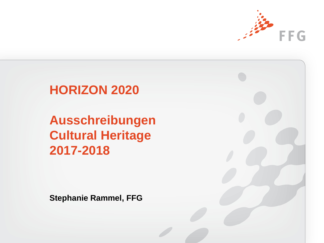

# **HORIZON 2020**

**Ausschreibungen Cultural Heritage 2017-2018**

**Stephanie Rammel, FFG**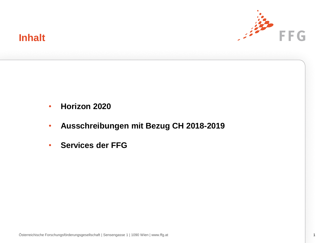

## **Inhalt**

- **Horizon 2020**
- **Ausschreibungen mit Bezug CH 2018-2019**
- **Services der FFG**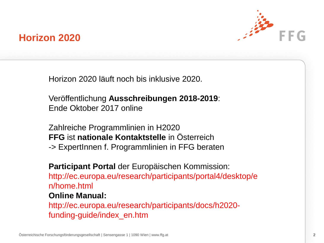

## **Horizon 2020**

Horizon 2020 läuft noch bis inklusive 2020.

Veröffentlichung **Ausschreibungen 2018-2019**: Ende Oktober 2017 online

Zahlreiche Programmlinien in H2020 **FFG** ist **nationale Kontaktstelle** in Österreich -> ExpertInnen f. Programmlinien in FFG beraten

**Participant Portal** der Europäischen Kommission: http://ec.europa.eu/research/participants/portal4/desktop/e n/home.html

### **Online Manual:**

http://ec.europa.eu/research/participants/docs/h2020 funding-guide/index\_en.htm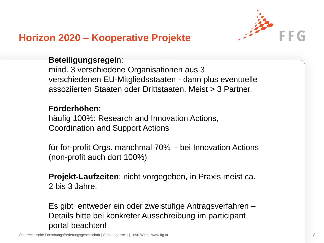

# **Horizon 2020 – Kooperative Projekte**

### **Beteiligungsregel**n:

mind. 3 verschiedene Organisationen aus 3 verschiedenen EU-Mitgliedsstaaten - dann plus eventuelle assoziierten Staaten oder Drittstaaten. Meist > 3 Partner.

### **Förderhöhen**:

häufig 100%: Research and Innovation Actions, Coordination and Support Actions

für for-profit Orgs. manchmal 70% - bei Innovation Actions (non-profit auch dort 100%)

**Projekt-Laufzeiten**: nicht vorgegeben, in Praxis meist ca. 2 bis 3 Jahre.

Es gibt entweder ein oder zweistufige Antragsverfahren – Details bitte bei konkreter Ausschreibung im participant portal beachten!

Österreichische Forschungsförderungsgesellschaft | Sensengasse 1 | 1090 Wien | www.ffg.at 3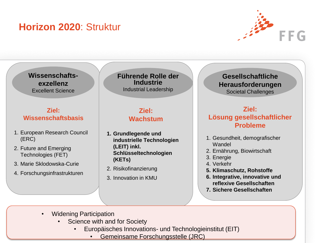# **Horizon 2020**: Struktur



**Wissenschaftsexzellenz** Excellent Science

#### **Ziel: Wissenschaftsbasis**

- 1. European Research Council (ERC)
- 2. Future and Emerging Technologies (FET)
- 3. Marie Sklodowska-Curie
- 4. Forschungsinfrastrukturen

**Führende Rolle der Industrie** Industrial Leadership

### **Ziel: Wachstum**

- **1. Grundlegende und industrielle Technologien (LEIT) inkl. Schlüsseltechnologien (KETs)**
- 2. Risikofinanzierung
- 3. Innovation in KMU

**Gesellschaftliche Herausforderungen** Societal Challenges

### **Ziel: Lösung gesellschaftlicher Probleme**

- 1. Gesundheit, demografischer Wandel
- 2. Ernährung, Biowirtschaft
- 3. Energie
- 4. Verkehr
- **5. Klimaschutz, Rohstoffe**
- **6. Integrative, innovative und reflexive Gesellschaften**
- **7. Sichere Gesellschaften**

- Widening Participation
	- Science with and for Society
		- Europäisches Innovations- und Technologieinstitut (EIT)
			- Gemeinsame Forschungsstelle (JRC)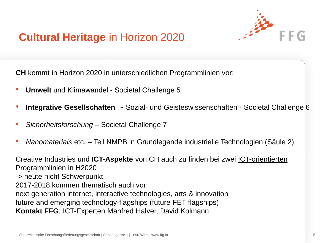

# **Cultural Heritage** in Horizon 2020

**CH** kommt in Horizon 2020 in unterschiedlichen Programmlinien vor:

- **Umwelt** und Klimawandel Societal Challenge 5
- **Integrative Gesellschaften** ~ Sozial- und Geisteswissenschaften Societal Challenge 6
- *Sicherheitsforschung* Societal Challenge 7
- *Nanomaterials* etc. Teil NMPB in Grundlegende industrielle Technologien (Säule 2)

Creative Industries und **ICT-Aspekte** von CH auch zu finden bei zwei ICT-orientierten Programmlinien in H2020

-> heute nicht Schwerpunkt.

2017-2018 kommen thematisch auch vor:

next generation internet, interactive technologies, arts & innovation

future and emerging technology-flagships (future FET flagships)

**Kontakt FFG**: ICT-Experten Manfred Halver, David Kolmann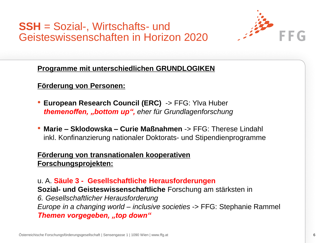**SSH** = Sozial-, Wirtschafts- und Geisteswissenschaften in Horizon 2020



**Programme mit unterschiedlichen GRUNDLOGIKEN** 

**Förderung von Personen:**

- **European Research Council (ERC)** -> FFG: Ylva Huber *themenoffen, "bottom up", eher für Grundlagenforschung*
- **Marie – Sklodowska – Curie Maßnahmen** -> FFG: Therese Lindahl inkl. Konfinanzierung nationaler Doktorats- und Stipendienprogramme

### **Förderung von transnationalen kooperativen Forschungsprojekten:**

u. A. **Säule 3 - Gesellschaftliche Herausforderungen Sozial- und Geisteswissenschaftliche** Forschung am stärksten in *6. Gesellschaftlicher Herausforderung Europe in a changing world – inclusive societies* -> FFG: Stephanie Rammel **Themen vorgegeben, "top down"**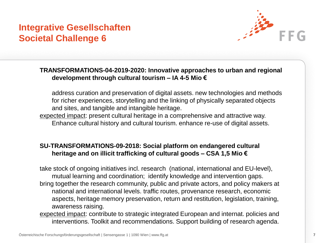### **Integrative Gesellschaften Societal Challenge 6**



#### **TRANSFORMATIONS-04-2019-2020: Innovative approaches to urban and regional development through cultural tourism – IA 4-5 Mio €**

address curation and preservation of digital assets. new technologies and methods for richer experiences, storytelling and the linking of physically separated objects and sites, and tangible and intangible heritage.

expected impact: present cultural heritage in a comprehensive and attractive way. Enhance cultural history and cultural tourism. enhance re-use of digital assets.

#### **SU-TRANSFORMATIONS-09-2018: Social platform on endangered cultural heritage and on illicit trafficking of cultural goods – CSA 1,5 Mio €**

take stock of ongoing initiatives incl. research (national, international and EU-level), mutual learning and coordination; identify knowledge and intervention gaps. bring together the research community, public and private actors, and policy makers at national and international levels. traffic routes, provenance research, economic aspects, heritage memory preservation, return and restitution, legislation, training, awareness raising.

expected impact: contribute to strategic integrated European and internat. policies and interventions. Toolkit and recommendations. Support building of research agenda.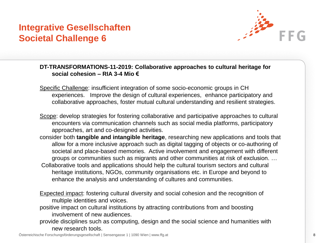### **Integrative Gesellschaften Societal Challenge 6**



#### **DT-TRANSFORMATIONS-11-2019: Collaborative approaches to cultural heritage for social cohesion – RIA 3-4 Mio €**

- Specific Challenge: insufficient integration of some socio-economic groups in CH experiences. Improve the design of cultural experiences, enhance participatory and collaborative approaches, foster mutual cultural understanding and resilient strategies.
- Scope: develop strategies for fostering collaborative and participative approaches to cultural encounters via communication channels such as social media platforms, participatory approaches, art and co-designed activities.
- consider both **tangible and intangible heritage**, researching new applications and tools that allow for a more inclusive approach such as digital tagging of objects or co-authoring of societal and place-based memories. Active involvement and engagement with different groups or communities such as migrants and other communities at risk of exclusion. …
- Collaborative tools and applications should help the cultural tourism sectors and cultural heritage institutions, NGOs, community organisations etc. in Europe and beyond to enhance the analysis and understanding of cultures and communities.
- Expected impact: fostering cultural diversity and social cohesion and the recognition of multiple identities and voices.
- positive impact on cultural institutions by attracting contributions from and boosting involvement of new audiences.
- provide disciplines such as computing, design and the social science and humanities with new research tools.

Österreichische Forschungsförderungsgesellschaft | Sensengasse 1 | 1090 Wien | www.ffg.at 8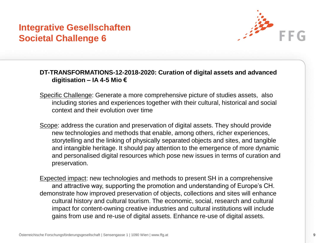### **Integrative Gesellschaften Societal Challenge 6**



#### **DT-TRANSFORMATIONS-12-2018-2020: Curation of digital assets and advanced digitisation – IA 4-5 Mio €**

- Specific Challenge: Generate a more comprehensive picture of studies assets, also including stories and experiences together with their cultural, historical and social context and their evolution over time
- Scope: address the curation and preservation of digital assets. They should provide new technologies and methods that enable, among others, richer experiences, storytelling and the linking of physically separated objects and sites, and tangible and intangible heritage. It should pay attention to the emergence of more dynamic and personalised digital resources which pose new issues in terms of curation and preservation.
- Expected impact: new technologies and methods to present SH in a comprehensive and attractive way, supporting the promotion and understanding of Europe's CH. demonstrate how improved preservation of objects, collections and sites will enhance cultural history and cultural tourism. The economic, social, research and cultural impact for content-owning creative industries and cultural institutions will include gains from use and re-use of digital assets. Enhance re-use of digital assets.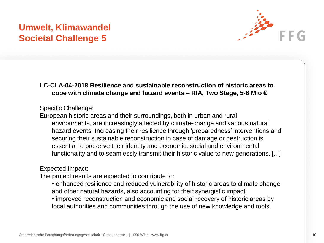## **Umwelt, Klimawandel Societal Challenge 5**



#### **LC-CLA-04-2018 Resilience and sustainable reconstruction of historic areas to cope with climate change and hazard events – RIA, Two Stage, 5-6 Mio €**

#### Specific Challenge:

European historic areas and their surroundings, both in urban and rural environments, are increasingly affected by climate-change and various natural hazard events. Increasing their resilience through 'preparedness' interventions and securing their sustainable reconstruction in case of damage or destruction is essential to preserve their identity and economic, social and environmental functionality and to seamlessly transmit their historic value to new generations. [...]

#### Expected Impact:

The project results are expected to contribute to:

- enhanced resilience and reduced vulnerability of historic areas to climate change and other natural hazards, also accounting for their synergistic impact;
- improved reconstruction and economic and social recovery of historic areas by local authorities and communities through the use of new knowledge and tools.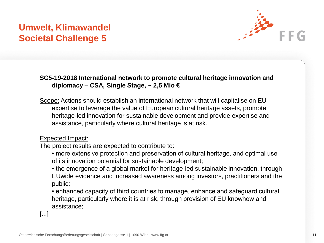## **Umwelt, Klimawandel Societal Challenge 5**



**SC5-19-2018 International network to promote cultural heritage innovation and diplomacy – CSA, Single Stage, ~ 2,5 Mio €**

Scope: Actions should establish an international network that will capitalise on EU expertise to leverage the value of European cultural heritage assets, promote heritage-led innovation for sustainable development and provide expertise and assistance, particularly where cultural heritage is at risk.

Expected Impact:

The project results are expected to contribute to:

- more extensive protection and preservation of cultural heritage, and optimal use of its innovation potential for sustainable development;
- the emergence of a global market for heritage-led sustainable innovation, through EUwide evidence and increased awareness among investors, practitioners and the public;
- enhanced capacity of third countries to manage, enhance and safeguard cultural heritage, particularly where it is at risk, through provision of EU knowhow and assistance;

[...]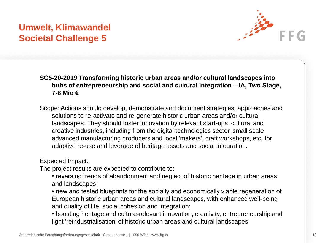## **Umwelt, Klimawandel Societal Challenge 5**



**SC5-20-2019 Transforming historic urban areas and/or cultural landscapes into hubs of entrepreneurship and social and cultural integration – IA, Two Stage, 7-8 Mio €**

Scope: Actions should develop, demonstrate and document strategies, approaches and solutions to re-activate and re-generate historic urban areas and/or cultural landscapes. They should foster innovation by relevant start-ups, cultural and creative industries, including from the digital technologies sector, small scale advanced manufacturing producers and local 'makers', craft workshops, etc. for adaptive re-use and leverage of heritage assets and social integration.

#### Expected Impact:

The project results are expected to contribute to:

- reversing trends of abandonment and neglect of historic heritage in urban areas and landscapes;
- new and tested blueprints for the socially and economically viable regeneration of European historic urban areas and cultural landscapes, with enhanced well-being and quality of life, social cohesion and integration;
- boosting heritage and culture-relevant innovation, creativity, entrepreneurship and light 'reindustrialisation' of historic urban areas and cultural landscapes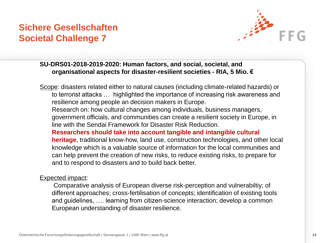### **Sichere Gesellschaften Societal Challenge 7**



#### **SU-DRS01-2018-2019-2020: Human factors, and social, societal, and organisational aspects for disaster-resilient societies - RIA, 5 Mio. €**

Scope: disasters related either to natural causes (including climate-related hazards) or to terrorist attacks … highlighted the importance of increasing risk awareness and resilience among people an decision makers in Europe.

Research on: how cultural changes among individuals, business managers, government officials, and communities can create a resilient society in Europe, in line with the Sendai Framework for Disaster Risk Reduction.

**Researchers should take into account tangible and intangible cultural heritage**, traditional know-how, land use, construction technologies, and other local knowledge which is a valuable source of information for the local communities and can help prevent the creation of new risks, to reduce existing risks, to prepare for and to respond to disasters and to build back better.

#### Expected impact:

Comparative analysis of European diverse risk-perception and vulnerabiltiy; of different approaches; cross-fertilisation of concepts; identification of existing tools and guidelines, …. learning from citizen-science interaction; develop a common European understanding of disaster resilience.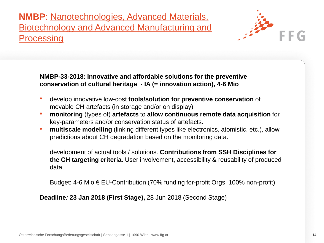**NMBP**: Nanotechnologies, Advanced Materials, Biotechnology and Advanced Manufacturing and **Processing** 



**NMBP-33-2018: Innovative and affordable solutions for the preventive conservation of cultural heritage - IA (= innovation action), 4-6 Mio** 

- develop innovative low-cost **tools/solution for preventive conservation** of movable CH artefacts (in storage and/or on display)
- **monitoring** (types of) **artefacts** to **allow continuous remote data acquisition** for key-parameters and/or conservation status of artefacts.
- **multiscale modelling** (linking different types like electronics, atomistic, etc.), allow predictions about CH degradation based on the monitoring data.

development of actual tools / solutions. **Contributions from SSH Disciplines for the CH targeting criteria**. User involvement, accessibility & reusability of produced data

Budget: 4-6 Mio € EU-Contribution (70% funding for-profit Orgs, 100% non-profit)

**Deadline***:* **23 Jan 2018 (First Stage),** 28 Jun 2018 (Second Stage)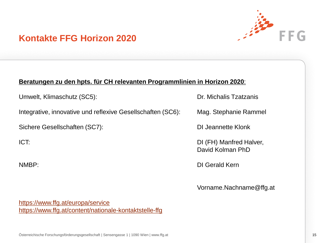

### **Kontakte FFG Horizon 2020**

#### **Beratungen zu den hpts. für CH relevanten Programmlinien in Horizon 2020**:

Umwelt, Klimaschutz (SC5): Dr. Michalis Tzatzanis

Integrative, innovative und reflexive Gesellschaften (SC6): Mag. Stephanie Rammel

Sichere Gesellschaften (SC7): DI Jeannette Klonk

ICT: DI (FH) Manfred Halver, David Kolman PhD

NMBP: DI Gerald Kern

Vorname.Nachname@ffg.at

<https://www.ffg.at/europa/service> <https://www.ffg.at/content/nationale-kontaktstelle-ffg>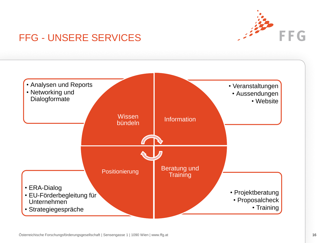

# FFG - UNSERE SERVICES

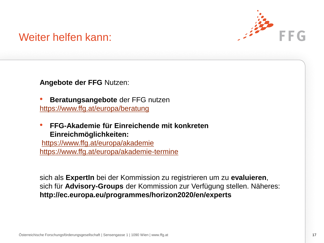

# Weiter helfen kann:

**Angebote der FFG** Nutzen:

- **Beratungsangebote** der FFG nutzen <https://www.ffg.at/europa/beratung>
- **FFG-Akademie für Einreichende mit konkreten Einreichmöglichkeiten:**

<https://www.ffg.at/europa/akademie> <https://www.ffg.at/europa/akademie-termine>

sich als **ExpertIn** bei der Kommission zu registrieren um zu **evaluieren**, sich für **Advisory-Groups** der Kommission zur Verfügung stellen. Näheres: **http://ec.europa.eu/programmes/horizon2020/en/experts**